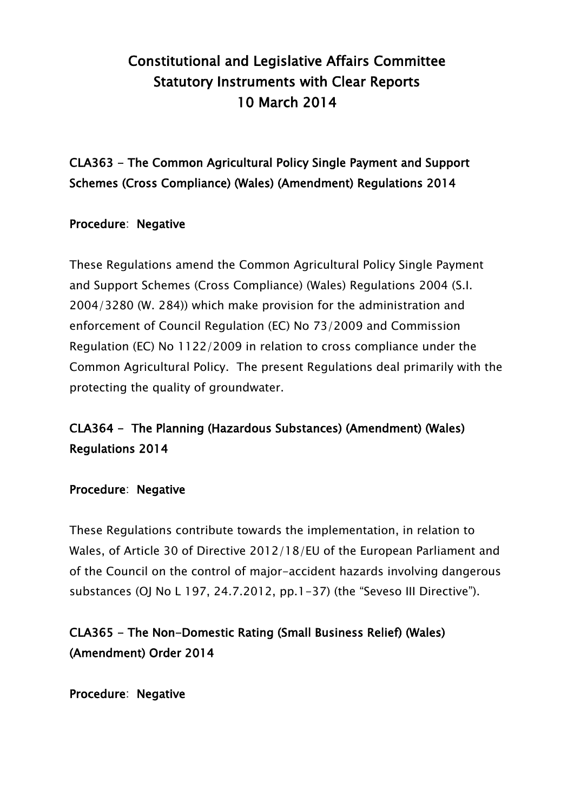# Constitutional and Legislative Affairs Committee Statutory Instruments with Clear Reports 10 March 2014

CLA363 - The Common Agricultural Policy Single Payment and Support Schemes (Cross Compliance) (Wales) (Amendment) Regulations 2014

### Procedure: Negative

These Regulations amend the Common Agricultural Policy Single Payment and Support Schemes (Cross Compliance) (Wales) Regulations 2004 (S.I. 2004/3280 (W. 284)) which make provision for the administration and enforcement of Council Regulation (EC) No 73/2009 and Commission Regulation (EC) No 1122/2009 in relation to cross compliance under the Common Agricultural Policy. The present Regulations deal primarily with the protecting the quality of groundwater.

## CLA364 - The Planning (Hazardous Substances) (Amendment) (Wales) Regulations 2014

#### Procedure: Negative

These Regulations contribute towards the implementation, in relation to Wales, of Article 30 of Directive 2012/18/EU of the European Parliament and of the Council on the control of major-accident hazards involving dangerous substances (OJ No L 197, 24.7.2012, pp.1-37) (the "Seveso III Directive").

## CLA365 - The Non-Domestic Rating (Small Business Relief) (Wales) (Amendment) Order 2014

Procedure: Negative